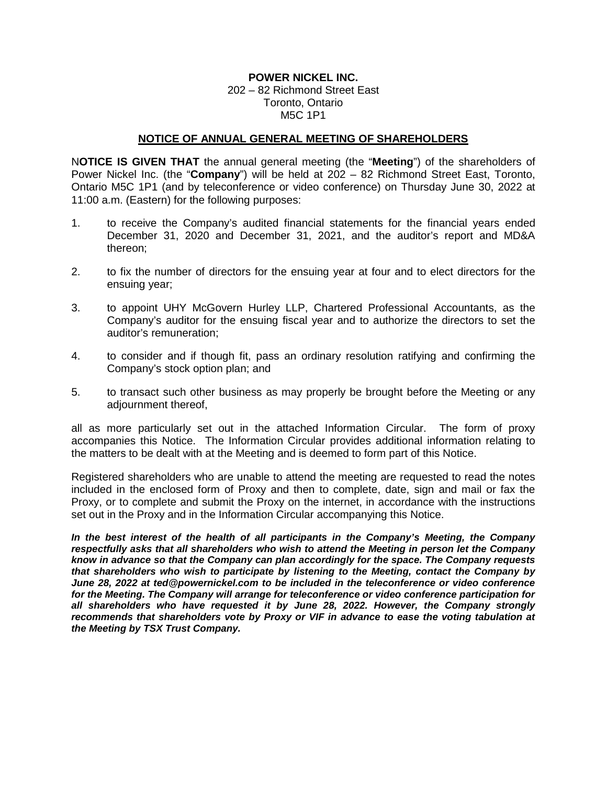## **POWER NICKEL INC.**

202 – 82 Richmond Street East Toronto, Ontario M5C 1P1

### **NOTICE OF ANNUAL GENERAL MEETING OF SHAREHOLDERS**

N**OTICE IS GIVEN THAT** the annual general meeting (the "**Meeting**") of the shareholders of Power Nickel Inc. (the "**Company**") will be held at 202 – 82 Richmond Street East, Toronto, Ontario M5C 1P1 (and by teleconference or video conference) on Thursday June 30, 2022 at 11:00 a.m. (Eastern) for the following purposes:

- 1. to receive the Company's audited financial statements for the financial years ended December 31, 2020 and December 31, 2021, and the auditor's report and MD&A thereon;
- 2. to fix the number of directors for the ensuing year at four and to elect directors for the ensuing year;
- 3. to appoint UHY McGovern Hurley LLP, Chartered Professional Accountants, as the Company's auditor for the ensuing fiscal year and to authorize the directors to set the auditor's remuneration;
- 4. to consider and if though fit, pass an ordinary resolution ratifying and confirming the Company's stock option plan; and
- 5. to transact such other business as may properly be brought before the Meeting or any adjournment thereof,

all as more particularly set out in the attached Information Circular. The form of proxy accompanies this Notice. The Information Circular provides additional information relating to the matters to be dealt with at the Meeting and is deemed to form part of this Notice.

Registered shareholders who are unable to attend the meeting are requested to read the notes included in the enclosed form of Proxy and then to complete, date, sign and mail or fax the Proxy, or to complete and submit the Proxy on the internet, in accordance with the instructions set out in the Proxy and in the Information Circular accompanying this Notice.

*In the best interest of the health of all participants in the Company's Meeting, the Company respectfully asks that all shareholders who wish to attend the Meeting in person let the Company know in advance so that the Company can plan accordingly for the space. The Company requests that shareholders who wish to participate by listening to the Meeting, contact the Company by June 28, 2022 at ted@powernickel.com to be included in the teleconference or video conference for the Meeting. The Company will arrange for teleconference or video conference participation for all shareholders who have requested it by June 28, 2022. However, the Company strongly recommends that shareholders vote by Proxy or VIF in advance to ease the voting tabulation at the Meeting by TSX Trust Company.*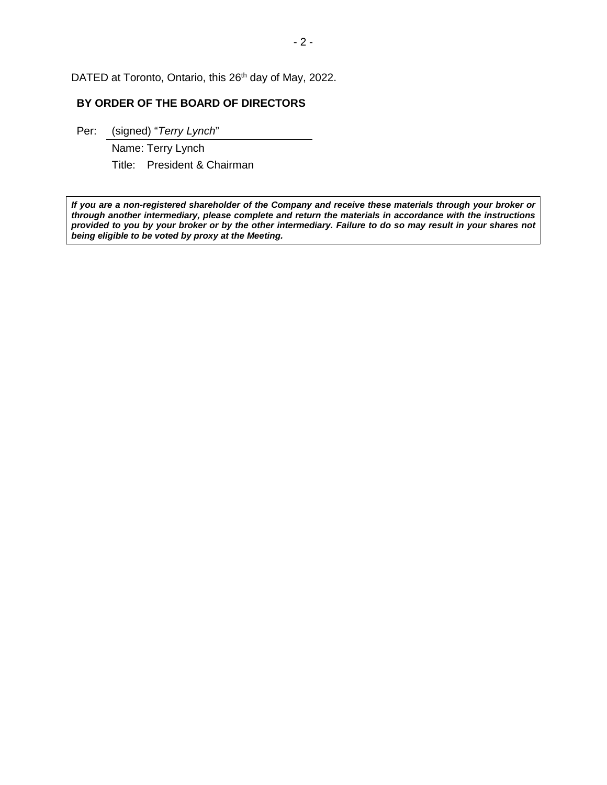DATED at Toronto, Ontario, this 26<sup>th</sup> day of May, 2022.

## **BY ORDER OF THE BOARD OF DIRECTORS**

Per: (signed) "*Terry Lynch*"

Name: Terry Lynch Title: President & Chairman

*If you are a non-registered shareholder of the Company and receive these materials through your broker or through another intermediary, please complete and return the materials in accordance with the instructions provided to you by your broker or by the other intermediary. Failure to do so may result in your shares not being eligible to be voted by proxy at the Meeting.*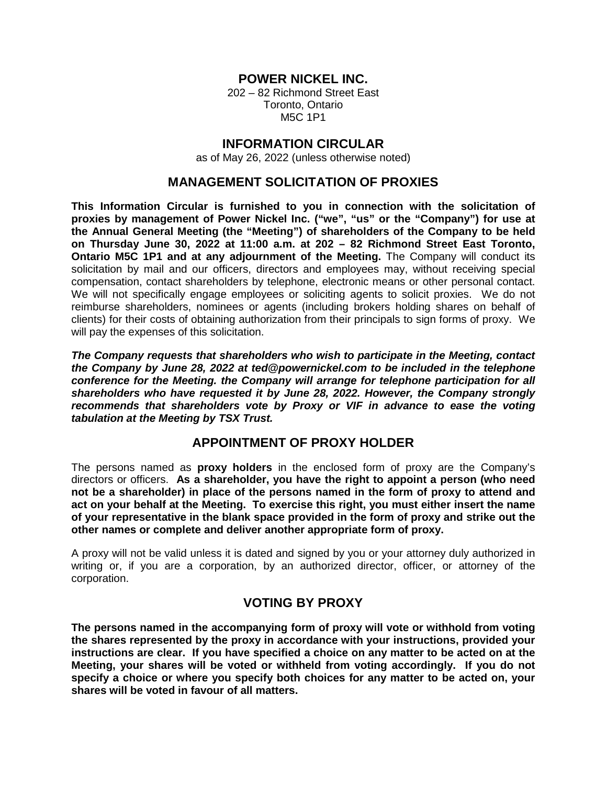## **POWER NICKEL INC.**

202 – 82 Richmond Street East Toronto, Ontario M5C 1P1

## **INFORMATION CIRCULAR**

as of May 26, 2022 (unless otherwise noted)

## **MANAGEMENT SOLICITATION OF PROXIES**

**This Information Circular is furnished to you in connection with the solicitation of proxies by management of Power Nickel Inc. ("we", "us" or the "Company") for use at the Annual General Meeting (the "Meeting") of shareholders of the Company to be held on Thursday June 30, 2022 at 11:00 a.m. at 202 – 82 Richmond Street East Toronto, Ontario M5C 1P1 and at any adjournment of the Meeting.** The Company will conduct its solicitation by mail and our officers, directors and employees may, without receiving special compensation, contact shareholders by telephone, electronic means or other personal contact. We will not specifically engage employees or soliciting agents to solicit proxies. We do not reimburse shareholders, nominees or agents (including brokers holding shares on behalf of clients) for their costs of obtaining authorization from their principals to sign forms of proxy. We will pay the expenses of this solicitation.

*The Company requests that shareholders who wish to participate in the Meeting, contact the Company by June 28, 2022 at ted@powernickel.com to be included in the telephone conference for the Meeting. the Company will arrange for telephone participation for all shareholders who have requested it by June 28, 2022. However, the Company strongly recommends that shareholders vote by Proxy or VIF in advance to ease the voting tabulation at the Meeting by TSX Trust.* 

## **APPOINTMENT OF PROXY HOLDER**

The persons named as **proxy holders** in the enclosed form of proxy are the Company's directors or officers. **As a shareholder, you have the right to appoint a person (who need not be a shareholder) in place of the persons named in the form of proxy to attend and act on your behalf at the Meeting. To exercise this right, you must either insert the name of your representative in the blank space provided in the form of proxy and strike out the other names or complete and deliver another appropriate form of proxy.**

A proxy will not be valid unless it is dated and signed by you or your attorney duly authorized in writing or, if you are a corporation, by an authorized director, officer, or attorney of the corporation.

## **VOTING BY PROXY**

**The persons named in the accompanying form of proxy will vote or withhold from voting the shares represented by the proxy in accordance with your instructions, provided your instructions are clear. If you have specified a choice on any matter to be acted on at the Meeting, your shares will be voted or withheld from voting accordingly. If you do not specify a choice or where you specify both choices for any matter to be acted on, your shares will be voted in favour of all matters.**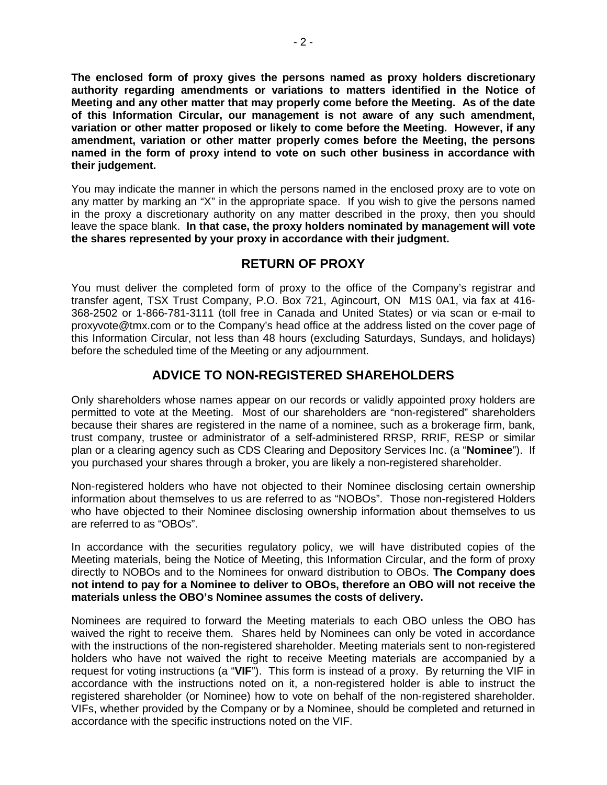**The enclosed form of proxy gives the persons named as proxy holders discretionary authority regarding amendments or variations to matters identified in the Notice of Meeting and any other matter that may properly come before the Meeting. As of the date of this Information Circular, our management is not aware of any such amendment, variation or other matter proposed or likely to come before the Meeting. However, if any amendment, variation or other matter properly comes before the Meeting, the persons named in the form of proxy intend to vote on such other business in accordance with their judgement.** 

You may indicate the manner in which the persons named in the enclosed proxy are to vote on any matter by marking an "X" in the appropriate space. If you wish to give the persons named in the proxy a discretionary authority on any matter described in the proxy, then you should leave the space blank. **In that case, the proxy holders nominated by management will vote the shares represented by your proxy in accordance with their judgment.**

## **RETURN OF PROXY**

You must deliver the completed form of proxy to the office of the Company's registrar and transfer agent, TSX Trust Company, P.O. Box 721, Agincourt, ON M1S 0A1, via fax at 416- 368-2502 or 1-866-781-3111 (toll free in Canada and United States) or via scan or e-mail to proxyvote@tmx.com or to the Company's head office at the address listed on the cover page of this Information Circular, not less than 48 hours (excluding Saturdays, Sundays, and holidays) before the scheduled time of the Meeting or any adjournment.

# **ADVICE TO NON-REGISTERED SHAREHOLDERS**

Only shareholders whose names appear on our records or validly appointed proxy holders are permitted to vote at the Meeting. Most of our shareholders are "non-registered" shareholders because their shares are registered in the name of a nominee, such as a brokerage firm, bank, trust company, trustee or administrator of a self-administered RRSP, RRIF, RESP or similar plan or a clearing agency such as CDS Clearing and Depository Services Inc. (a "**Nominee**"). If you purchased your shares through a broker, you are likely a non-registered shareholder.

Non-registered holders who have not objected to their Nominee disclosing certain ownership information about themselves to us are referred to as "NOBOs". Those non-registered Holders who have objected to their Nominee disclosing ownership information about themselves to us are referred to as "OBOs".

In accordance with the securities regulatory policy, we will have distributed copies of the Meeting materials, being the Notice of Meeting, this Information Circular, and the form of proxy directly to NOBOs and to the Nominees for onward distribution to OBOs. **The Company does not intend to pay for a Nominee to deliver to OBOs, therefore an OBO will not receive the materials unless the OBO's Nominee assumes the costs of delivery.**

Nominees are required to forward the Meeting materials to each OBO unless the OBO has waived the right to receive them. Shares held by Nominees can only be voted in accordance with the instructions of the non-registered shareholder. Meeting materials sent to non-registered holders who have not waived the right to receive Meeting materials are accompanied by a request for voting instructions (a "**VIF**"). This form is instead of a proxy. By returning the VIF in accordance with the instructions noted on it, a non-registered holder is able to instruct the registered shareholder (or Nominee) how to vote on behalf of the non-registered shareholder. VIFs, whether provided by the Company or by a Nominee, should be completed and returned in accordance with the specific instructions noted on the VIF.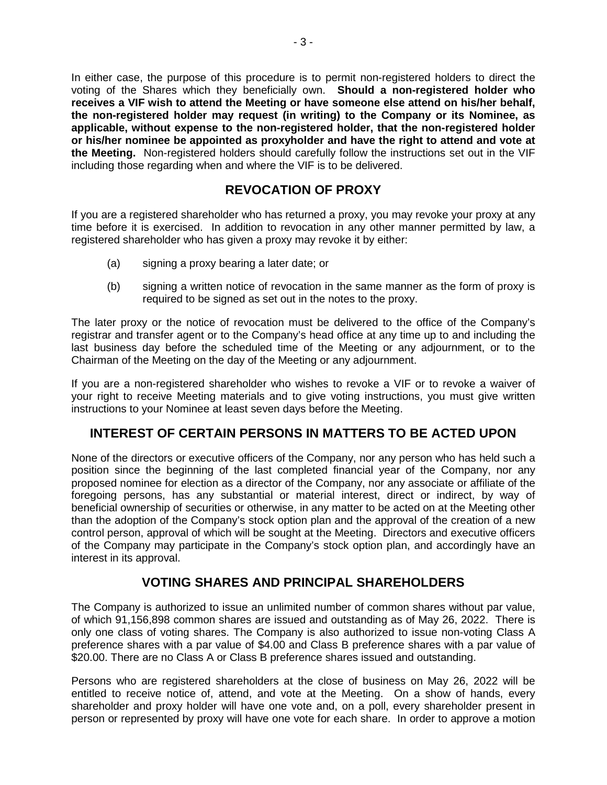In either case, the purpose of this procedure is to permit non-registered holders to direct the voting of the Shares which they beneficially own. **Should a non-registered holder who receives a VIF wish to attend the Meeting or have someone else attend on his/her behalf, the non-registered holder may request (in writing) to the Company or its Nominee, as applicable, without expense to the non-registered holder, that the non-registered holder or his/her nominee be appointed as proxyholder and have the right to attend and vote at the Meeting.** Non-registered holders should carefully follow the instructions set out in the VIF including those regarding when and where the VIF is to be delivered.

# **REVOCATION OF PROXY**

If you are a registered shareholder who has returned a proxy, you may revoke your proxy at any time before it is exercised. In addition to revocation in any other manner permitted by law, a registered shareholder who has given a proxy may revoke it by either:

- (a) signing a proxy bearing a later date; or
- (b) signing a written notice of revocation in the same manner as the form of proxy is required to be signed as set out in the notes to the proxy.

The later proxy or the notice of revocation must be delivered to the office of the Company's registrar and transfer agent or to the Company's head office at any time up to and including the last business day before the scheduled time of the Meeting or any adjournment, or to the Chairman of the Meeting on the day of the Meeting or any adjournment.

If you are a non-registered shareholder who wishes to revoke a VIF or to revoke a waiver of your right to receive Meeting materials and to give voting instructions, you must give written instructions to your Nominee at least seven days before the Meeting.

# **INTEREST OF CERTAIN PERSONS IN MATTERS TO BE ACTED UPON**

None of the directors or executive officers of the Company, nor any person who has held such a position since the beginning of the last completed financial year of the Company, nor any proposed nominee for election as a director of the Company, nor any associate or affiliate of the foregoing persons, has any substantial or material interest, direct or indirect, by way of beneficial ownership of securities or otherwise, in any matter to be acted on at the Meeting other than the adoption of the Company's stock option plan and the approval of the creation of a new control person, approval of which will be sought at the Meeting. Directors and executive officers of the Company may participate in the Company's stock option plan, and accordingly have an interest in its approval.

# **VOTING SHARES AND PRINCIPAL SHAREHOLDERS**

The Company is authorized to issue an unlimited number of common shares without par value, of which 91,156,898 common shares are issued and outstanding as of May 26, 2022. There is only one class of voting shares. The Company is also authorized to issue non-voting Class A preference shares with a par value of \$4.00 and Class B preference shares with a par value of \$20.00. There are no Class A or Class B preference shares issued and outstanding.

Persons who are registered shareholders at the close of business on May 26, 2022 will be entitled to receive notice of, attend, and vote at the Meeting. On a show of hands, every shareholder and proxy holder will have one vote and, on a poll, every shareholder present in person or represented by proxy will have one vote for each share. In order to approve a motion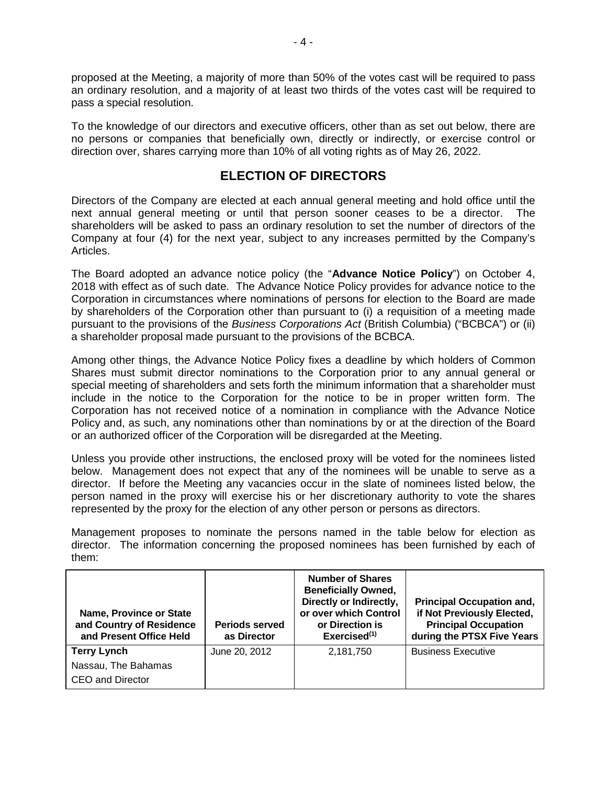proposed at the Meeting, a majority of more than 50% of the votes cast will be required to pass an ordinary resolution, and a majority of at least two thirds of the votes cast will be required to pass a special resolution.

To the knowledge of our directors and executive officers, other than as set out below, there are no persons or companies that beneficially own, directly or indirectly, or exercise control or direction over, shares carrying more than 10% of all voting rights as of May 26, 2022.

## **ELECTION OF DIRECTORS**

Directors of the Company are elected at each annual general meeting and hold office until the next annual general meeting or until that person sooner ceases to be a director. The shareholders will be asked to pass an ordinary resolution to set the number of directors of the Company at four (4) for the next year, subject to any increases permitted by the Company's Articles.

The Board adopted an advance notice policy (the "**Advance Notice Policy**") on October 4, 2018 with effect as of such date. The Advance Notice Policy provides for advance notice to the Corporation in circumstances where nominations of persons for election to the Board are made by shareholders of the Corporation other than pursuant to (i) a requisition of a meeting made pursuant to the provisions of the *Business Corporations Act* (British Columbia) ("BCBCA") or (ii) a shareholder proposal made pursuant to the provisions of the BCBCA.

Among other things, the Advance Notice Policy fixes a deadline by which holders of Common Shares must submit director nominations to the Corporation prior to any annual general or special meeting of shareholders and sets forth the minimum information that a shareholder must include in the notice to the Corporation for the notice to be in proper written form. The Corporation has not received notice of a nomination in compliance with the Advance Notice Policy and, as such, any nominations other than nominations by or at the direction of the Board or an authorized officer of the Corporation will be disregarded at the Meeting.

Unless you provide other instructions, the enclosed proxy will be voted for the nominees listed below. Management does not expect that any of the nominees will be unable to serve as a director. If before the Meeting any vacancies occur in the slate of nominees listed below, the person named in the proxy will exercise his or her discretionary authority to vote the shares represented by the proxy for the election of any other person or persons as directors.

Management proposes to nominate the persons named in the table below for election as director. The information concerning the proposed nominees has been furnished by each of them:

| <b>Name, Province or State</b><br>and Country of Residence<br>and Present Office Held | <b>Periods served</b><br>as Director | <b>Number of Shares</b><br><b>Beneficially Owned,</b><br>Directly or Indirectly,<br>or over which Control<br>or Direction is<br>Exercised $(1)$ | <b>Principal Occupation and,</b><br>if Not Previously Elected,<br><b>Principal Occupation</b><br>during the PTSX Five Years |
|---------------------------------------------------------------------------------------|--------------------------------------|-------------------------------------------------------------------------------------------------------------------------------------------------|-----------------------------------------------------------------------------------------------------------------------------|
| <b>Terry Lynch</b>                                                                    | June 20, 2012                        | 2,181,750                                                                                                                                       | <b>Business Executive</b>                                                                                                   |
| Nassau, The Bahamas                                                                   |                                      |                                                                                                                                                 |                                                                                                                             |
| <b>CEO and Director</b>                                                               |                                      |                                                                                                                                                 |                                                                                                                             |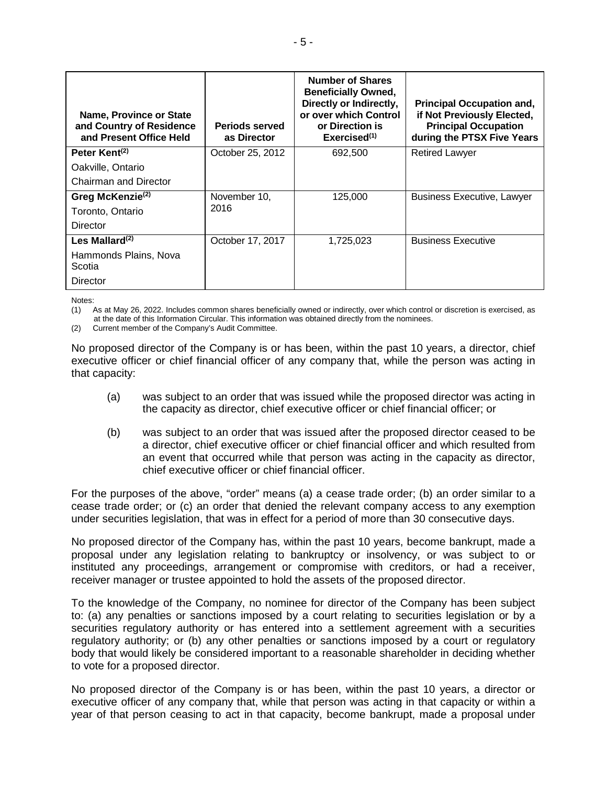| Name, Province or State<br>and Country of Residence<br>and Present Office Held | <b>Periods served</b><br>as Director | <b>Number of Shares</b><br><b>Beneficially Owned,</b><br>Directly or Indirectly,<br>or over which Control<br>or Direction is<br>Exercise d <sup>(1)</sup> | <b>Principal Occupation and,</b><br>if Not Previously Elected,<br><b>Principal Occupation</b><br>during the PTSX Five Years |
|--------------------------------------------------------------------------------|--------------------------------------|-----------------------------------------------------------------------------------------------------------------------------------------------------------|-----------------------------------------------------------------------------------------------------------------------------|
| Peter Kent <sup>(2)</sup>                                                      | October 25, 2012                     | 692,500                                                                                                                                                   | <b>Retired Lawyer</b>                                                                                                       |
| Oakville, Ontario                                                              |                                      |                                                                                                                                                           |                                                                                                                             |
| Chairman and Director                                                          |                                      |                                                                                                                                                           |                                                                                                                             |
| Greg McKenzie <sup>(2)</sup>                                                   | November 10,                         | 125,000                                                                                                                                                   | <b>Business Executive, Lawyer</b>                                                                                           |
| Toronto, Ontario                                                               | 2016                                 |                                                                                                                                                           |                                                                                                                             |
| Director                                                                       |                                      |                                                                                                                                                           |                                                                                                                             |
| Les Mallard $(2)$                                                              | October 17, 2017                     | 1,725,023                                                                                                                                                 | <b>Business Executive</b>                                                                                                   |
| Hammonds Plains, Nova<br>Scotia                                                |                                      |                                                                                                                                                           |                                                                                                                             |
| Director                                                                       |                                      |                                                                                                                                                           |                                                                                                                             |

Notes:

(1) As at May 26, 2022. Includes common shares beneficially owned or indirectly, over which control or discretion is exercised, as at the date of this Information Circular. This information was obtained directly from the nominees.

(2) Current member of the Company's Audit Committee.

No proposed director of the Company is or has been, within the past 10 years, a director, chief executive officer or chief financial officer of any company that, while the person was acting in that capacity:

- (a) was subject to an order that was issued while the proposed director was acting in the capacity as director, chief executive officer or chief financial officer; or
- (b) was subject to an order that was issued after the proposed director ceased to be a director, chief executive officer or chief financial officer and which resulted from an event that occurred while that person was acting in the capacity as director, chief executive officer or chief financial officer.

For the purposes of the above, "order" means (a) a cease trade order; (b) an order similar to a cease trade order; or (c) an order that denied the relevant company access to any exemption under securities legislation, that was in effect for a period of more than 30 consecutive days.

No proposed director of the Company has, within the past 10 years, become bankrupt, made a proposal under any legislation relating to bankruptcy or insolvency, or was subject to or instituted any proceedings, arrangement or compromise with creditors, or had a receiver, receiver manager or trustee appointed to hold the assets of the proposed director.

To the knowledge of the Company, no nominee for director of the Company has been subject to: (a) any penalties or sanctions imposed by a court relating to securities legislation or by a securities regulatory authority or has entered into a settlement agreement with a securities regulatory authority; or (b) any other penalties or sanctions imposed by a court or regulatory body that would likely be considered important to a reasonable shareholder in deciding whether to vote for a proposed director.

No proposed director of the Company is or has been, within the past 10 years, a director or executive officer of any company that, while that person was acting in that capacity or within a year of that person ceasing to act in that capacity, become bankrupt, made a proposal under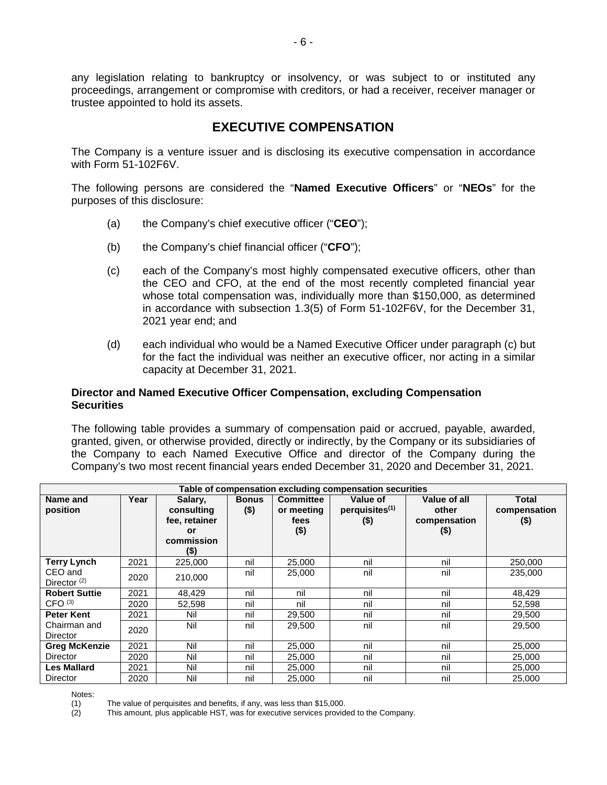any legislation relating to bankruptcy or insolvency, or was subject to or instituted any proceedings, arrangement or compromise with creditors, or had a receiver, receiver manager or trustee appointed to hold its assets.

## **EXECUTIVE COMPENSATION**

The Company is a venture issuer and is disclosing its executive compensation in accordance with Form 51-102F6V.

The following persons are considered the "**Named Executive Officers**" or "**NEOs**" for the purposes of this disclosure:

- (a) the Company's chief executive officer ("**CEO**");
- (b) the Company's chief financial officer ("**CFO**");
- (c) each of the Company's most highly compensated executive officers, other than the CEO and CFO, at the end of the most recently completed financial year whose total compensation was, individually more than \$150,000, as determined in accordance with subsection 1.3(5) of Form 51-102F6V, for the December 31, 2021 year end; and
- (d) each individual who would be a Named Executive Officer under paragraph (c) but for the fact the individual was neither an executive officer, nor acting in a similar capacity at December 31, 2021.

### **Director and Named Executive Officer Compensation, excluding Compensation Securities**

The following table provides a summary of compensation paid or accrued, payable, awarded, granted, given, or otherwise provided, directly or indirectly, by the Company or its subsidiaries of the Company to each Named Executive Office and director of the Company during the Company's two most recent financial years ended December 31, 2020 and December 31, 2021.

|                                 | Table of compensation excluding compensation securities |                                                                      |                         |                                                   |                                                   |                                                  |                                 |
|---------------------------------|---------------------------------------------------------|----------------------------------------------------------------------|-------------------------|---------------------------------------------------|---------------------------------------------------|--------------------------------------------------|---------------------------------|
| Name and<br>position            | Year                                                    | Salary,<br>consulting<br>fee, retainer<br>or<br>commission<br>$($ \$ | <b>Bonus</b><br>$($ \$) | <b>Committee</b><br>or meeting<br>fees<br>$($ \$) | Value of<br>perquisites <sup>(1)</sup><br>$($ \$) | Value of all<br>other<br>compensation<br>$($ \$) | Total<br>compensation<br>$($ \$ |
| <b>Terry Lynch</b>              | 2021                                                    | 225,000                                                              | nil                     | 25,000                                            | nil                                               | nil                                              | 250,000                         |
| CEO and<br>Director $(2)$       | 2020                                                    | 210,000                                                              | nil                     | 25,000                                            | nil                                               | nil                                              | 235,000                         |
| <b>Robert Suttie</b>            | 2021                                                    | 48,429                                                               | nil                     | nil                                               | nil                                               | nil                                              | 48,429                          |
| CFO <sup>(3)</sup>              | 2020                                                    | 52,598                                                               | nil                     | nil                                               | nil                                               | nil                                              | 52,598                          |
| <b>Peter Kent</b>               | 2021                                                    | Nil                                                                  | nil                     | 29,500                                            | nil                                               | nil                                              | 29,500                          |
| Chairman and<br><b>Director</b> | 2020                                                    | Nil                                                                  | nil                     | 29,500                                            | nil                                               | nil                                              | 29,500                          |
| <b>Greg McKenzie</b>            | 2021                                                    | Nil                                                                  | nil                     | 25,000                                            | nil                                               | nil                                              | 25,000                          |
| <b>Director</b>                 | 2020                                                    | Nil                                                                  | nil                     | 25,000                                            | nil                                               | nil                                              | 25,000                          |
| <b>Les Mallard</b>              | 2021                                                    | Nil                                                                  | nil                     | 25,000                                            | nil                                               | nil                                              | 25,000                          |
| Director                        | 2020                                                    | Nil                                                                  | nil                     | 25,000                                            | nil                                               | nil                                              | 25,000                          |

Notes:

This amount, plus applicable HST, was for executive services provided to the Company.

<sup>(1)</sup> The value of perquisites and benefits, if any, was less than \$15,000.<br>(2) This amount, plus applicable HST, was for executive services provide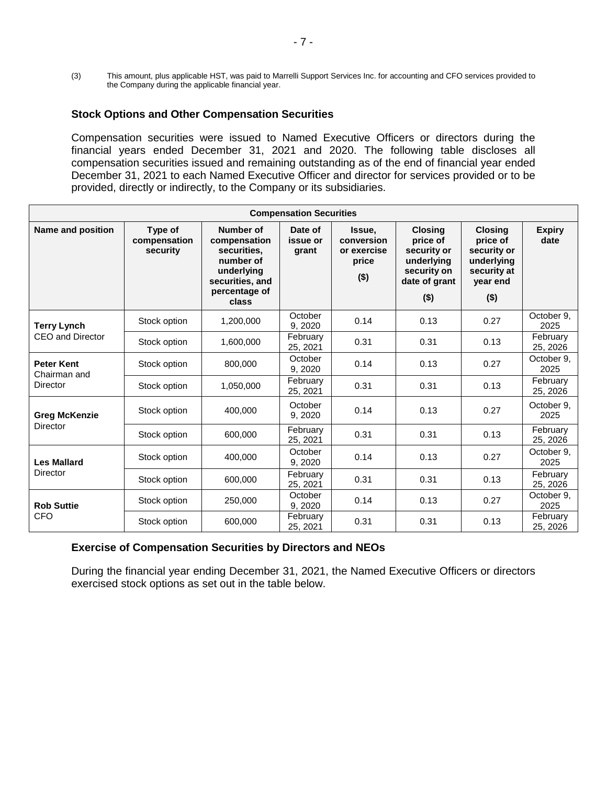(3) This amount, plus applicable HST, was paid to Marrelli Support Services Inc. for accounting and CFO services provided to the Company during the applicable financial year.

### **Stock Options and Other Compensation Securities**

Compensation securities were issued to Named Executive Officers or directors during the financial years ended December 31, 2021 and 2020. The following table discloses all compensation securities issued and remaining outstanding as of the end of financial year ended December 31, 2021 to each Named Executive Officer and director for services provided or to be provided, directly or indirectly, to the Company or its subsidiaries.

| <b>Compensation Securities</b>    |                                     |                                                                                                                         |                              |                                                         |                                                                                                    |                                                                                               |                       |
|-----------------------------------|-------------------------------------|-------------------------------------------------------------------------------------------------------------------------|------------------------------|---------------------------------------------------------|----------------------------------------------------------------------------------------------------|-----------------------------------------------------------------------------------------------|-----------------------|
| <b>Name and position</b>          | Type of<br>compensation<br>security | <b>Number of</b><br>compensation<br>securities.<br>number of<br>underlying<br>securities, and<br>percentage of<br>class | Date of<br>issue or<br>grant | Issue.<br>conversion<br>or exercise<br>price<br>$($ \$) | <b>Closing</b><br>price of<br>security or<br>underlying<br>security on<br>date of grant<br>$($ \$) | <b>Closing</b><br>price of<br>security or<br>underlying<br>security at<br>year end<br>$($ \$) | <b>Expiry</b><br>date |
| <b>Terry Lynch</b>                | Stock option                        | 1,200,000                                                                                                               | October<br>9, 2020           | 0.14                                                    | 0.13                                                                                               | 0.27                                                                                          | October 9.<br>2025    |
| CEO and Director                  | Stock option                        | 1,600,000                                                                                                               | February<br>25, 2021         | 0.31                                                    | 0.31                                                                                               | 0.13                                                                                          | February<br>25, 2026  |
| <b>Peter Kent</b><br>Chairman and | Stock option                        | 800.000                                                                                                                 | October<br>9,2020            | 0.14                                                    | 0.13                                                                                               | 0.27                                                                                          | October 9.<br>2025    |
| Director                          | Stock option                        | 1,050,000                                                                                                               | February<br>25, 2021         | 0.31                                                    | 0.31                                                                                               | 0.13                                                                                          | February<br>25, 2026  |
| <b>Greg McKenzie</b>              | Stock option                        | 400,000                                                                                                                 | October<br>9, 2020           | 0.14                                                    | 0.13                                                                                               | 0.27                                                                                          | October 9.<br>2025    |
| Director                          | Stock option                        | 600,000                                                                                                                 | February<br>25, 2021         | 0.31                                                    | 0.31                                                                                               | 0.13                                                                                          | February<br>25, 2026  |
| <b>Les Mallard</b>                | Stock option                        | 400,000                                                                                                                 | October<br>9, 2020           | 0.14                                                    | 0.13                                                                                               | 0.27                                                                                          | October 9,<br>2025    |
| Director                          | Stock option                        | 600,000                                                                                                                 | February<br>25, 2021         | 0.31                                                    | 0.31                                                                                               | 0.13                                                                                          | February<br>25, 2026  |
| <b>Rob Suttie</b>                 | Stock option                        | 250,000                                                                                                                 | October<br>9.2020            | 0.14                                                    | 0.13                                                                                               | 0.27                                                                                          | October 9,<br>2025    |
| <b>CFO</b>                        | Stock option                        | 600,000                                                                                                                 | February<br>25, 2021         | 0.31                                                    | 0.31                                                                                               | 0.13                                                                                          | February<br>25, 2026  |

### **Exercise of Compensation Securities by Directors and NEOs**

During the financial year ending December 31, 2021, the Named Executive Officers or directors exercised stock options as set out in the table below.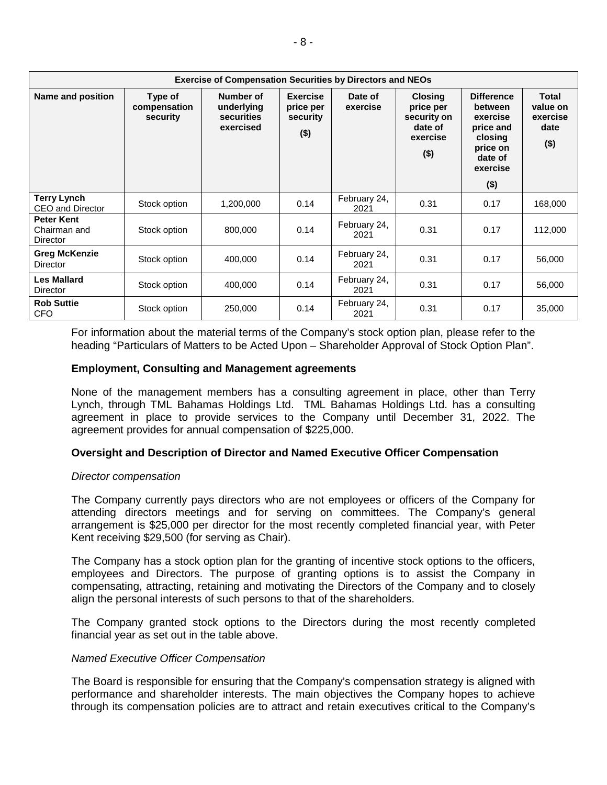| <b>Exercise of Compensation Securities by Directors and NEOs</b> |                                     |                                                           |                                                     |                      |                                                                              |                                                                                                                |                                                  |
|------------------------------------------------------------------|-------------------------------------|-----------------------------------------------------------|-----------------------------------------------------|----------------------|------------------------------------------------------------------------------|----------------------------------------------------------------------------------------------------------------|--------------------------------------------------|
| Name and position                                                | Type of<br>compensation<br>security | Number of<br>underlying<br><b>securities</b><br>exercised | <b>Exercise</b><br>price per<br>security<br>$($ \$) | Date of<br>exercise  | <b>Closing</b><br>price per<br>security on<br>date of<br>exercise<br>$($ \$) | <b>Difference</b><br>between<br>exercise<br>price and<br>closing<br>price on<br>date of<br>exercise<br>$($ \$) | Total<br>value on<br>exercise<br>date<br>$($ \$) |
| <b>Terry Lynch</b>                                               | Stock option                        | 1,200,000                                                 | 0.14                                                | February 24,         | 0.31                                                                         | 0.17                                                                                                           | 168,000                                          |
| CEO and Director                                                 |                                     |                                                           |                                                     | 2021                 |                                                                              |                                                                                                                |                                                  |
| <b>Peter Kent</b><br>Chairman and<br>Director                    | Stock option                        | 800,000                                                   | 0.14                                                | February 24,<br>2021 | 0.31                                                                         | 0.17                                                                                                           | 112,000                                          |
| <b>Greg McKenzie</b><br>Director                                 | Stock option                        | 400,000                                                   | 0.14                                                | February 24,<br>2021 | 0.31                                                                         | 0.17                                                                                                           | 56,000                                           |
| <b>Les Mallard</b><br>Director                                   | Stock option                        | 400.000                                                   | 0.14                                                | February 24,<br>2021 | 0.31                                                                         | 0.17                                                                                                           | 56,000                                           |
| <b>Rob Suttie</b><br><b>CFO</b>                                  | Stock option                        | 250,000                                                   | 0.14                                                | February 24,<br>2021 | 0.31                                                                         | 0.17                                                                                                           | 35,000                                           |

For information about the material terms of the Company's stock option plan, please refer to the heading "Particulars of Matters to be Acted Upon – Shareholder Approval of Stock Option Plan".

### **Employment, Consulting and Management agreements**

None of the management members has a consulting agreement in place, other than Terry Lynch, through TML Bahamas Holdings Ltd. TML Bahamas Holdings Ltd. has a consulting agreement in place to provide services to the Company until December 31, 2022. The agreement provides for annual compensation of \$225,000.

### **Oversight and Description of Director and Named Executive Officer Compensation**

#### *Director compensation*

The Company currently pays directors who are not employees or officers of the Company for attending directors meetings and for serving on committees. The Company's general arrangement is \$25,000 per director for the most recently completed financial year, with Peter Kent receiving \$29,500 (for serving as Chair).

The Company has a stock option plan for the granting of incentive stock options to the officers, employees and Directors. The purpose of granting options is to assist the Company in compensating, attracting, retaining and motivating the Directors of the Company and to closely align the personal interests of such persons to that of the shareholders.

The Company granted stock options to the Directors during the most recently completed financial year as set out in the table above.

#### *Named Executive Officer Compensation*

The Board is responsible for ensuring that the Company's compensation strategy is aligned with performance and shareholder interests. The main objectives the Company hopes to achieve through its compensation policies are to attract and retain executives critical to the Company's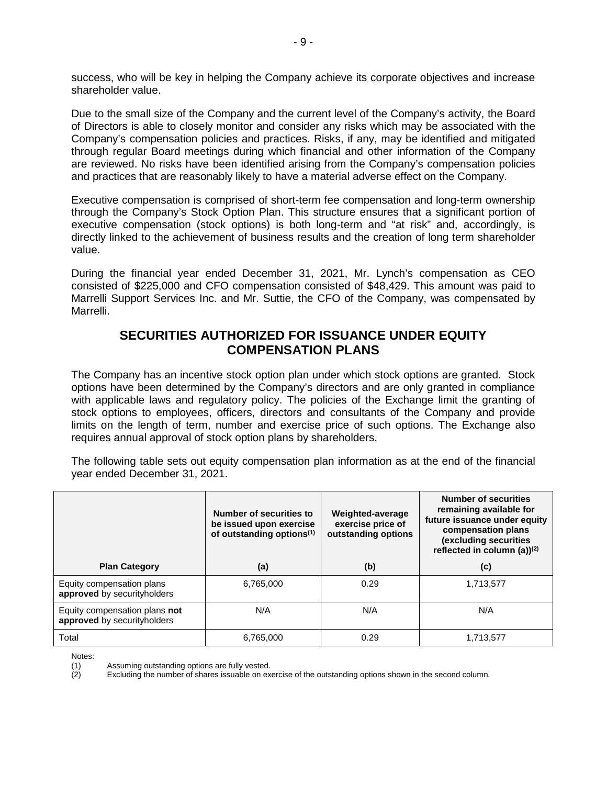success, who will be key in helping the Company achieve its corporate objectives and increase shareholder value.

Due to the small size of the Company and the current level of the Company's activity, the Board of Directors is able to closely monitor and consider any risks which may be associated with the Company's compensation policies and practices. Risks, if any, may be identified and mitigated through regular Board meetings during which financial and other information of the Company are reviewed. No risks have been identified arising from the Company's compensation policies and practices that are reasonably likely to have a material adverse effect on the Company.

Executive compensation is comprised of short-term fee compensation and long-term ownership through the Company's Stock Option Plan. This structure ensures that a significant portion of executive compensation (stock options) is both long-term and "at risk" and, accordingly, is directly linked to the achievement of business results and the creation of long term shareholder value.

During the financial year ended December 31, 2021, Mr. Lynch's compensation as CEO consisted of \$225,000 and CFO compensation consisted of \$48,429. This amount was paid to Marrelli Support Services Inc. and Mr. Suttie, the CFO of the Company, was compensated by Marrelli.

## **SECURITIES AUTHORIZED FOR ISSUANCE UNDER EQUITY COMPENSATION PLANS**

The Company has an incentive stock option plan under which stock options are granted. Stock options have been determined by the Company's directors and are only granted in compliance with applicable laws and regulatory policy. The policies of the Exchange limit the granting of stock options to employees, officers, directors and consultants of the Company and provide limits on the length of term, number and exercise price of such options. The Exchange also requires annual approval of stock option plans by shareholders.

The following table sets out equity compensation plan information as at the end of the financial year ended December 31, 2021.

|                                                              | Number of securities to<br>be issued upon exercise<br>of outstanding options <sup>(1)</sup> | Weighted-average<br>exercise price of<br>outstanding options | <b>Number of securities</b><br>remaining available for<br>future issuance under equity<br>compensation plans<br>(excluding securities<br>reflected in column (a) $(2)$ |
|--------------------------------------------------------------|---------------------------------------------------------------------------------------------|--------------------------------------------------------------|------------------------------------------------------------------------------------------------------------------------------------------------------------------------|
| <b>Plan Category</b>                                         | (a)                                                                                         | (b)                                                          | (c)                                                                                                                                                                    |
| Equity compensation plans<br>approved by securityholders     | 6,765,000                                                                                   | 0.29                                                         | 1,713,577                                                                                                                                                              |
| Equity compensation plans not<br>approved by securityholders | N/A                                                                                         | N/A                                                          | N/A                                                                                                                                                                    |
| Total                                                        | 6.765.000                                                                                   | 0.29                                                         | 1,713,577                                                                                                                                                              |

Notes:

Excluding the number of shares issuable on exercise of the outstanding options shown in the second column.

<sup>(1)</sup> Assuming outstanding options are fully vested.<br>(2) Excluding the number of shares issuable on exe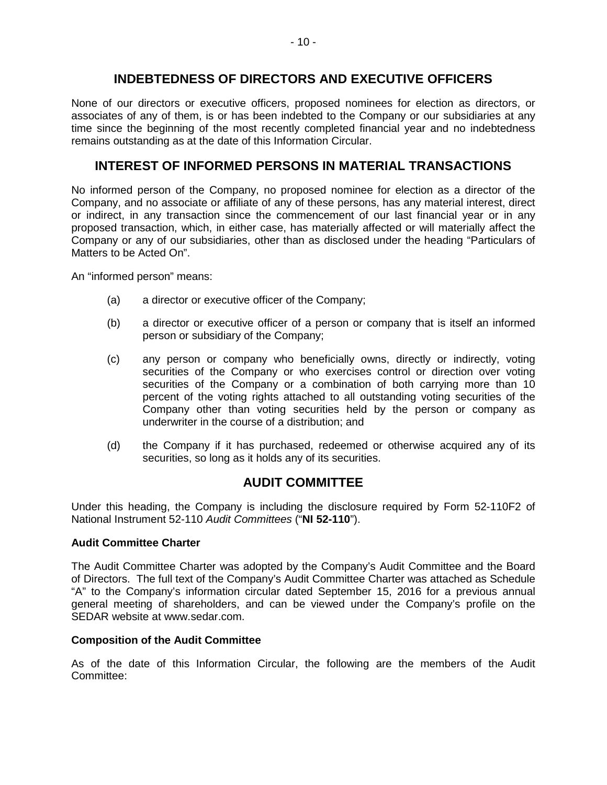## **INDEBTEDNESS OF DIRECTORS AND EXECUTIVE OFFICERS**

None of our directors or executive officers, proposed nominees for election as directors, or associates of any of them, is or has been indebted to the Company or our subsidiaries at any time since the beginning of the most recently completed financial year and no indebtedness remains outstanding as at the date of this Information Circular.

# **INTEREST OF INFORMED PERSONS IN MATERIAL TRANSACTIONS**

No informed person of the Company, no proposed nominee for election as a director of the Company, and no associate or affiliate of any of these persons, has any material interest, direct or indirect, in any transaction since the commencement of our last financial year or in any proposed transaction, which, in either case, has materially affected or will materially affect the Company or any of our subsidiaries, other than as disclosed under the heading "Particulars of Matters to be Acted On".

An "informed person" means:

- (a) a director or executive officer of the Company;
- (b) a director or executive officer of a person or company that is itself an informed person or subsidiary of the Company;
- (c) any person or company who beneficially owns, directly or indirectly, voting securities of the Company or who exercises control or direction over voting securities of the Company or a combination of both carrying more than 10 percent of the voting rights attached to all outstanding voting securities of the Company other than voting securities held by the person or company as underwriter in the course of a distribution; and
- (d) the Company if it has purchased, redeemed or otherwise acquired any of its securities, so long as it holds any of its securities.

## **AUDIT COMMITTEE**

Under this heading, the Company is including the disclosure required by Form 52-110F2 of National Instrument 52-110 *Audit Committees* ("**NI 52-110**").

## **Audit Committee Charter**

The Audit Committee Charter was adopted by the Company's Audit Committee and the Board of Directors. The full text of the Company's Audit Committee Charter was attached as Schedule "A" to the Company's information circular dated September 15, 2016 for a previous annual general meeting of shareholders, and can be viewed under the Company's profile on the SEDAR website at www.sedar.com.

## **Composition of the Audit Committee**

As of the date of this Information Circular, the following are the members of the Audit Committee: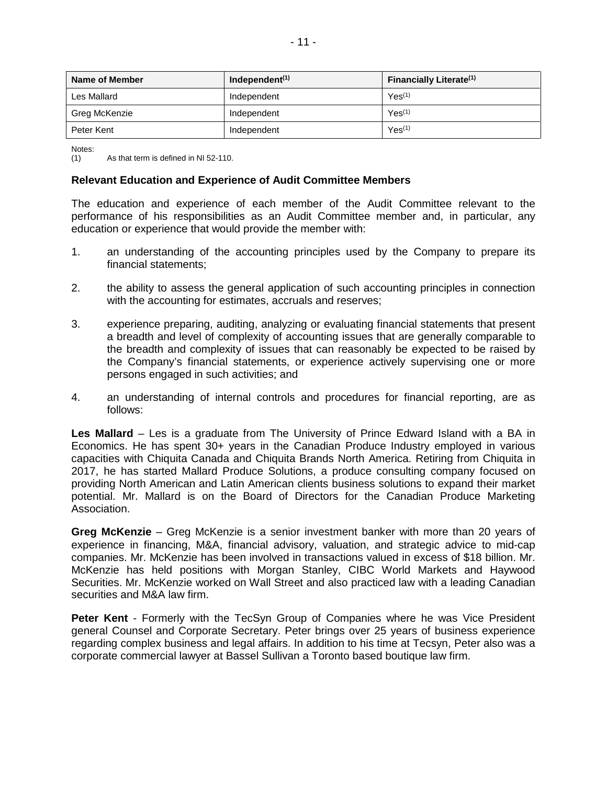| Name of Member | Independent <sup>(1)</sup> | <b>Financially Literate(1)</b> |
|----------------|----------------------------|--------------------------------|
| Les Mallard    | Independent                | Yes <sup>(1)</sup>             |
| Greg McKenzie  | Independent                | Yes <sup>(1)</sup>             |
| Peter Kent     | Independent                | Yes <sup>(1)</sup>             |

Notes:<br>(1)

As that term is defined in NI 52-110.

#### **Relevant Education and Experience of Audit Committee Members**

The education and experience of each member of the Audit Committee relevant to the performance of his responsibilities as an Audit Committee member and, in particular, any education or experience that would provide the member with:

- 1. an understanding of the accounting principles used by the Company to prepare its financial statements;
- 2. the ability to assess the general application of such accounting principles in connection with the accounting for estimates, accruals and reserves;
- 3. experience preparing, auditing, analyzing or evaluating financial statements that present a breadth and level of complexity of accounting issues that are generally comparable to the breadth and complexity of issues that can reasonably be expected to be raised by the Company's financial statements, or experience actively supervising one or more persons engaged in such activities; and
- 4. an understanding of internal controls and procedures for financial reporting, are as follows:

**Les Mallard** – Les is a graduate from The University of Prince Edward Island with a BA in Economics. He has spent 30+ years in the Canadian Produce Industry employed in various capacities with Chiquita Canada and Chiquita Brands North America. Retiring from Chiquita in 2017, he has started Mallard Produce Solutions, a produce consulting company focused on providing North American and Latin American clients business solutions to expand their market potential. Mr. Mallard is on the Board of Directors for the Canadian Produce Marketing Association.

**Greg McKenzie** – Greg McKenzie is a senior investment banker with more than 20 years of experience in financing, M&A, financial advisory, valuation, and strategic advice to mid-cap companies. Mr. McKenzie has been involved in transactions valued in excess of \$18 billion. Mr. McKenzie has held positions with Morgan Stanley, CIBC World Markets and Haywood Securities. Mr. McKenzie worked on Wall Street and also practiced law with a leading Canadian securities and M&A law firm.

**Peter Kent** - Formerly with the TecSyn Group of Companies where he was Vice President general Counsel and Corporate Secretary. Peter brings over 25 years of business experience regarding complex business and legal affairs. In addition to his time at Tecsyn, Peter also was a corporate commercial lawyer at Bassel Sullivan a Toronto based boutique law firm.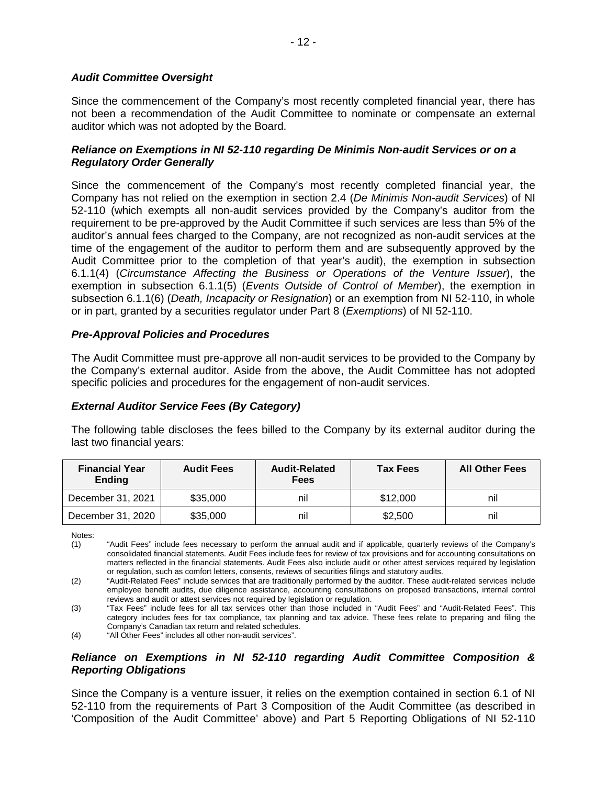### *Audit Committee Oversight*

Since the commencement of the Company's most recently completed financial year, there has not been a recommendation of the Audit Committee to nominate or compensate an external auditor which was not adopted by the Board.

### *Reliance on Exemptions in NI 52-110 regarding De Minimis Non-audit Services or on a Regulatory Order Generally*

Since the commencement of the Company's most recently completed financial year, the Company has not relied on the exemption in section 2.4 (*De Minimis Non-audit Services*) of NI 52-110 (which exempts all non-audit services provided by the Company's auditor from the requirement to be pre-approved by the Audit Committee if such services are less than 5% of the auditor's annual fees charged to the Company, are not recognized as non-audit services at the time of the engagement of the auditor to perform them and are subsequently approved by the Audit Committee prior to the completion of that year's audit), the exemption in subsection 6.1.1(4) (*Circumstance Affecting the Business or Operations of the Venture Issuer*), the exemption in subsection 6.1.1(5) (*Events Outside of Control of Member*), the exemption in subsection 6.1.1(6) (*Death, Incapacity or Resignation*) or an exemption from NI 52-110, in whole or in part, granted by a securities regulator under Part 8 (*Exemptions*) of NI 52-110.

### *Pre-Approval Policies and Procedures*

The Audit Committee must pre-approve all non-audit services to be provided to the Company by the Company's external auditor. Aside from the above, the Audit Committee has not adopted specific policies and procedures for the engagement of non-audit services.

## *External Auditor Service Fees (By Category)*

The following table discloses the fees billed to the Company by its external auditor during the last two financial years:

| <b>Financial Year</b><br><b>Ending</b> | <b>Audit Fees</b> | <b>Audit-Related</b><br><b>Fees</b> | <b>Tax Fees</b> | <b>All Other Fees</b> |
|----------------------------------------|-------------------|-------------------------------------|-----------------|-----------------------|
| December 31, 2021                      | \$35,000          | nil                                 | \$12,000        | nil                   |
| December 31, 2020                      | \$35,000          | nil                                 | \$2,500         | nil                   |

Notes:<br>(1)

### *Reliance on Exemptions in NI 52-110 regarding Audit Committee Composition & Reporting Obligations*

Since the Company is a venture issuer, it relies on the exemption contained in section 6.1 of NI 52-110 from the requirements of Part 3 Composition of the Audit Committee (as described in 'Composition of the Audit Committee' above) and Part 5 Reporting Obligations of NI 52-110

<sup>&</sup>quot;Audit Fees" include fees necessary to perform the annual audit and if applicable, quarterly reviews of the Company's consolidated financial statements. Audit Fees include fees for review of tax provisions and for accounting consultations on matters reflected in the financial statements. Audit Fees also include audit or other attest services required by legislation or regulation, such as comfort letters, consents, reviews of securities filings and statutory audits.

<sup>(2) &</sup>quot;Audit-Related Fees" include services that are traditionally performed by the auditor. These audit-related services include employee benefit audits, due diligence assistance, accounting consultations on proposed transactions, internal control reviews and audit or attest services not required by legislation or regulation.

<sup>(3) &</sup>quot;Tax Fees" include fees for all tax services other than those included in "Audit Fees" and "Audit-Related Fees". This category includes fees for tax compliance, tax planning and tax advice. These fees relate to preparing and filing the Company's Canadian tax return and related schedules.

<sup>(4) &</sup>quot;All Other Fees" includes all other non-audit services".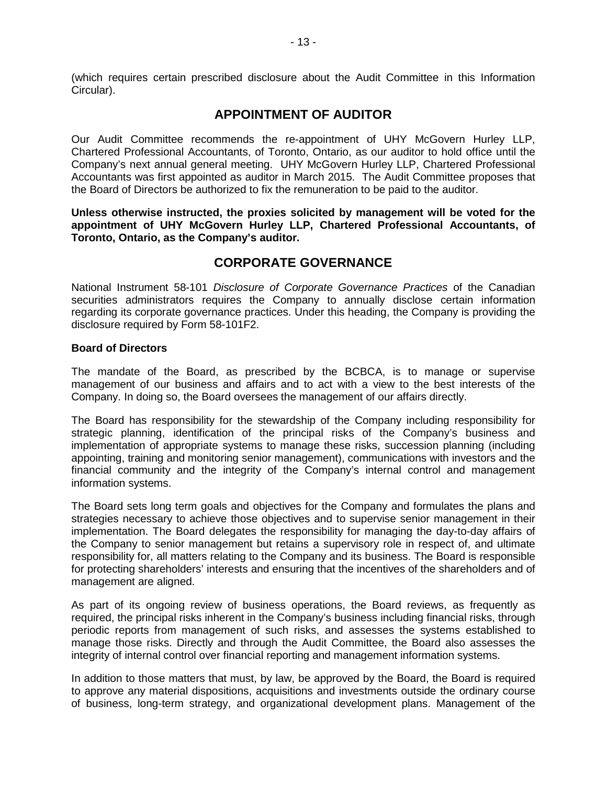(which requires certain prescribed disclosure about the Audit Committee in this Information Circular).

## **APPOINTMENT OF AUDITOR**

Our Audit Committee recommends the re-appointment of UHY McGovern Hurley LLP, Chartered Professional Accountants, of Toronto, Ontario, as our auditor to hold office until the Company's next annual general meeting. UHY McGovern Hurley LLP, Chartered Professional Accountants was first appointed as auditor in March 2015. The Audit Committee proposes that the Board of Directors be authorized to fix the remuneration to be paid to the auditor.

**Unless otherwise instructed, the proxies solicited by management will be voted for the appointment of UHY McGovern Hurley LLP, Chartered Professional Accountants, of Toronto, Ontario, as the Company's auditor.** 

## **CORPORATE GOVERNANCE**

National Instrument 58-101 *Disclosure of Corporate Governance Practices* of the Canadian securities administrators requires the Company to annually disclose certain information regarding its corporate governance practices. Under this heading, the Company is providing the disclosure required by Form 58-101F2.

### **Board of Directors**

The mandate of the Board, as prescribed by the BCBCA, is to manage or supervise management of our business and affairs and to act with a view to the best interests of the Company. In doing so, the Board oversees the management of our affairs directly.

The Board has responsibility for the stewardship of the Company including responsibility for strategic planning, identification of the principal risks of the Company's business and implementation of appropriate systems to manage these risks, succession planning (including appointing, training and monitoring senior management), communications with investors and the financial community and the integrity of the Company's internal control and management information systems.

The Board sets long term goals and objectives for the Company and formulates the plans and strategies necessary to achieve those objectives and to supervise senior management in their implementation. The Board delegates the responsibility for managing the day-to-day affairs of the Company to senior management but retains a supervisory role in respect of, and ultimate responsibility for, all matters relating to the Company and its business. The Board is responsible for protecting shareholders' interests and ensuring that the incentives of the shareholders and of management are aligned.

As part of its ongoing review of business operations, the Board reviews, as frequently as required, the principal risks inherent in the Company's business including financial risks, through periodic reports from management of such risks, and assesses the systems established to manage those risks. Directly and through the Audit Committee, the Board also assesses the integrity of internal control over financial reporting and management information systems.

In addition to those matters that must, by law, be approved by the Board, the Board is required to approve any material dispositions, acquisitions and investments outside the ordinary course of business, long-term strategy, and organizational development plans. Management of the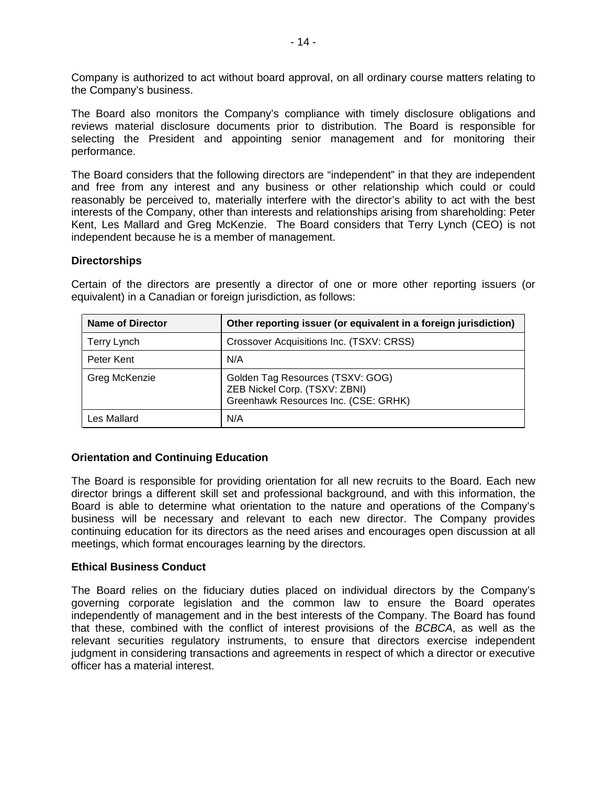Company is authorized to act without board approval, on all ordinary course matters relating to the Company's business.

The Board also monitors the Company's compliance with timely disclosure obligations and reviews material disclosure documents prior to distribution. The Board is responsible for selecting the President and appointing senior management and for monitoring their performance.

The Board considers that the following directors are "independent" in that they are independent and free from any interest and any business or other relationship which could or could reasonably be perceived to, materially interfere with the director's ability to act with the best interests of the Company, other than interests and relationships arising from shareholding: Peter Kent, Les Mallard and Greg McKenzie. The Board considers that Terry Lynch (CEO) is not independent because he is a member of management.

#### **Directorships**

| <b>Name of Director</b> | Other reporting issuer (or equivalent in a foreign jurisdiction)                                          |
|-------------------------|-----------------------------------------------------------------------------------------------------------|
| <b>Terry Lynch</b>      | Crossover Acquisitions Inc. (TSXV: CRSS)                                                                  |
| Peter Kent              | N/A                                                                                                       |
| Greg McKenzie           | Golden Tag Resources (TSXV: GOG)<br>ZEB Nickel Corp. (TSXV: ZBNI)<br>Greenhawk Resources Inc. (CSE: GRHK) |
| Les Mallard             | N/A                                                                                                       |

Certain of the directors are presently a director of one or more other reporting issuers (or equivalent) in a Canadian or foreign jurisdiction, as follows:

### **Orientation and Continuing Education**

The Board is responsible for providing orientation for all new recruits to the Board. Each new director brings a different skill set and professional background, and with this information, the Board is able to determine what orientation to the nature and operations of the Company's business will be necessary and relevant to each new director. The Company provides continuing education for its directors as the need arises and encourages open discussion at all meetings, which format encourages learning by the directors.

### **Ethical Business Conduct**

The Board relies on the fiduciary duties placed on individual directors by the Company's governing corporate legislation and the common law to ensure the Board operates independently of management and in the best interests of the Company. The Board has found that these, combined with the conflict of interest provisions of the *BCBCA*, as well as the relevant securities regulatory instruments, to ensure that directors exercise independent judgment in considering transactions and agreements in respect of which a director or executive officer has a material interest.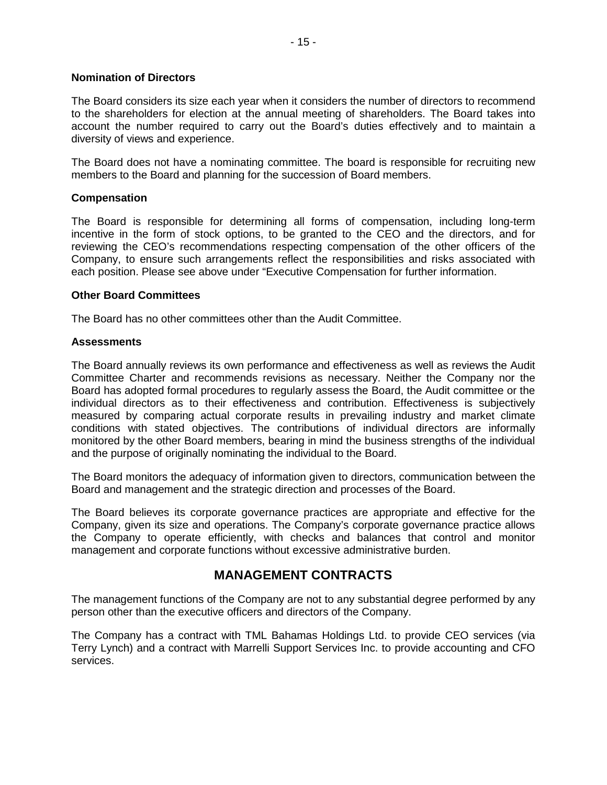#### **Nomination of Directors**

The Board considers its size each year when it considers the number of directors to recommend to the shareholders for election at the annual meeting of shareholders. The Board takes into account the number required to carry out the Board's duties effectively and to maintain a diversity of views and experience.

The Board does not have a nominating committee. The board is responsible for recruiting new members to the Board and planning for the succession of Board members.

### **Compensation**

The Board is responsible for determining all forms of compensation, including long-term incentive in the form of stock options, to be granted to the CEO and the directors, and for reviewing the CEO's recommendations respecting compensation of the other officers of the Company, to ensure such arrangements reflect the responsibilities and risks associated with each position. Please see above under "Executive Compensation for further information.

#### **Other Board Committees**

The Board has no other committees other than the Audit Committee.

#### **Assessments**

The Board annually reviews its own performance and effectiveness as well as reviews the Audit Committee Charter and recommends revisions as necessary. Neither the Company nor the Board has adopted formal procedures to regularly assess the Board, the Audit committee or the individual directors as to their effectiveness and contribution. Effectiveness is subjectively measured by comparing actual corporate results in prevailing industry and market climate conditions with stated objectives. The contributions of individual directors are informally monitored by the other Board members, bearing in mind the business strengths of the individual and the purpose of originally nominating the individual to the Board.

The Board monitors the adequacy of information given to directors, communication between the Board and management and the strategic direction and processes of the Board.

The Board believes its corporate governance practices are appropriate and effective for the Company, given its size and operations. The Company's corporate governance practice allows the Company to operate efficiently, with checks and balances that control and monitor management and corporate functions without excessive administrative burden.

## **MANAGEMENT CONTRACTS**

The management functions of the Company are not to any substantial degree performed by any person other than the executive officers and directors of the Company.

The Company has a contract with TML Bahamas Holdings Ltd. to provide CEO services (via Terry Lynch) and a contract with Marrelli Support Services Inc. to provide accounting and CFO services.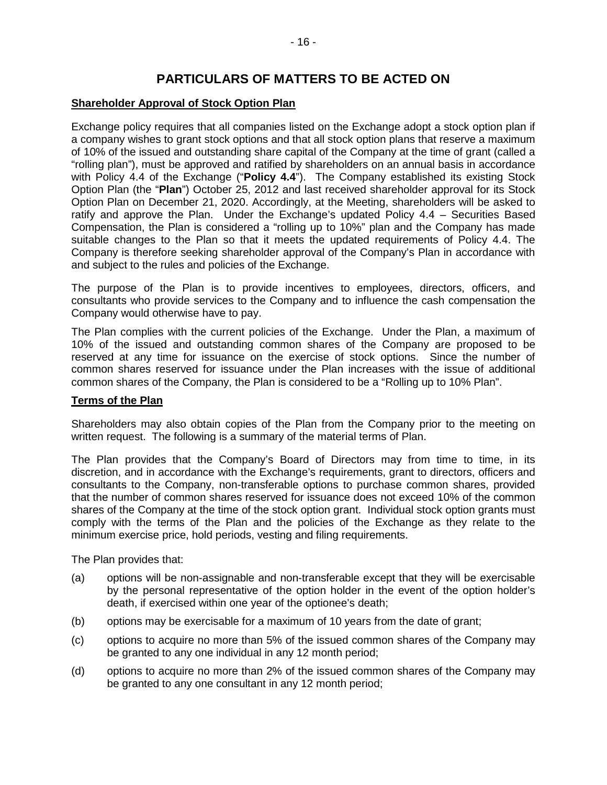# **PARTICULARS OF MATTERS TO BE ACTED ON**

### **Shareholder Approval of Stock Option Plan**

Exchange policy requires that all companies listed on the Exchange adopt a stock option plan if a company wishes to grant stock options and that all stock option plans that reserve a maximum of 10% of the issued and outstanding share capital of the Company at the time of grant (called a "rolling plan"), must be approved and ratified by shareholders on an annual basis in accordance with Policy 4.4 of the Exchange ("**Policy 4.4**"). The Company established its existing Stock Option Plan (the "**Plan**") October 25, 2012 and last received shareholder approval for its Stock Option Plan on December 21, 2020. Accordingly, at the Meeting, shareholders will be asked to ratify and approve the Plan. Under the Exchange's updated Policy 4.4 – Securities Based Compensation, the Plan is considered a "rolling up to 10%" plan and the Company has made suitable changes to the Plan so that it meets the updated requirements of Policy 4.4. The Company is therefore seeking shareholder approval of the Company's Plan in accordance with and subject to the rules and policies of the Exchange.

The purpose of the Plan is to provide incentives to employees, directors, officers, and consultants who provide services to the Company and to influence the cash compensation the Company would otherwise have to pay.

The Plan complies with the current policies of the Exchange. Under the Plan, a maximum of 10% of the issued and outstanding common shares of the Company are proposed to be reserved at any time for issuance on the exercise of stock options. Since the number of common shares reserved for issuance under the Plan increases with the issue of additional common shares of the Company, the Plan is considered to be a "Rolling up to 10% Plan".

### **Terms of the Plan**

Shareholders may also obtain copies of the Plan from the Company prior to the meeting on written request. The following is a summary of the material terms of Plan.

The Plan provides that the Company's Board of Directors may from time to time, in its discretion, and in accordance with the Exchange's requirements, grant to directors, officers and consultants to the Company, non-transferable options to purchase common shares, provided that the number of common shares reserved for issuance does not exceed 10% of the common shares of the Company at the time of the stock option grant. Individual stock option grants must comply with the terms of the Plan and the policies of the Exchange as they relate to the minimum exercise price, hold periods, vesting and filing requirements.

The Plan provides that:

- (a) options will be non-assignable and non-transferable except that they will be exercisable by the personal representative of the option holder in the event of the option holder's death, if exercised within one year of the optionee's death;
- (b) options may be exercisable for a maximum of 10 years from the date of grant;
- (c) options to acquire no more than 5% of the issued common shares of the Company may be granted to any one individual in any 12 month period;
- (d) options to acquire no more than 2% of the issued common shares of the Company may be granted to any one consultant in any 12 month period;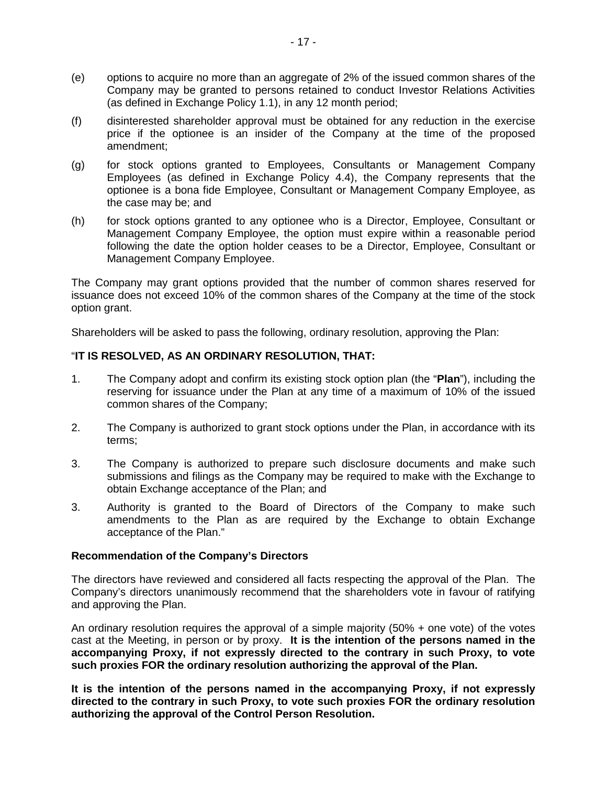- (e) options to acquire no more than an aggregate of 2% of the issued common shares of the Company may be granted to persons retained to conduct Investor Relations Activities (as defined in Exchange Policy 1.1), in any 12 month period;
- (f) disinterested shareholder approval must be obtained for any reduction in the exercise price if the optionee is an insider of the Company at the time of the proposed amendment;
- (g) for stock options granted to Employees, Consultants or Management Company Employees (as defined in Exchange Policy 4.4), the Company represents that the optionee is a bona fide Employee, Consultant or Management Company Employee, as the case may be; and
- (h) for stock options granted to any optionee who is a Director, Employee, Consultant or Management Company Employee, the option must expire within a reasonable period following the date the option holder ceases to be a Director, Employee, Consultant or Management Company Employee.

The Company may grant options provided that the number of common shares reserved for issuance does not exceed 10% of the common shares of the Company at the time of the stock option grant.

Shareholders will be asked to pass the following, ordinary resolution, approving the Plan:

## "**IT IS RESOLVED, AS AN ORDINARY RESOLUTION, THAT:**

- 1. The Company adopt and confirm its existing stock option plan (the "**Plan**"), including the reserving for issuance under the Plan at any time of a maximum of 10% of the issued common shares of the Company;
- 2. The Company is authorized to grant stock options under the Plan, in accordance with its terms;
- 3. The Company is authorized to prepare such disclosure documents and make such submissions and filings as the Company may be required to make with the Exchange to obtain Exchange acceptance of the Plan; and
- 3. Authority is granted to the Board of Directors of the Company to make such amendments to the Plan as are required by the Exchange to obtain Exchange acceptance of the Plan."

### **Recommendation of the Company's Directors**

The directors have reviewed and considered all facts respecting the approval of the Plan. The Company's directors unanimously recommend that the shareholders vote in favour of ratifying and approving the Plan.

An ordinary resolution requires the approval of a simple majority (50% + one vote) of the votes cast at the Meeting, in person or by proxy. **It is the intention of the persons named in the accompanying Proxy, if not expressly directed to the contrary in such Proxy, to vote such proxies FOR the ordinary resolution authorizing the approval of the Plan.** 

**It is the intention of the persons named in the accompanying Proxy, if not expressly directed to the contrary in such Proxy, to vote such proxies FOR the ordinary resolution authorizing the approval of the Control Person Resolution.**